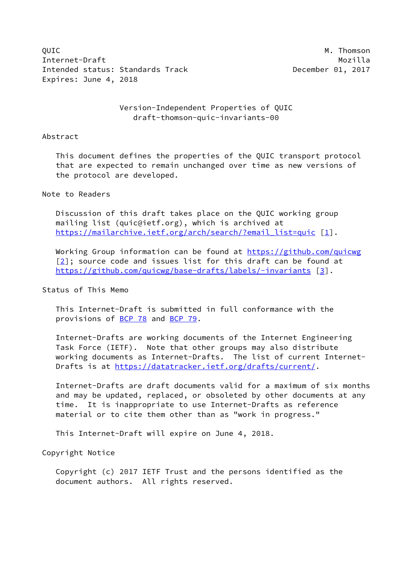OUIC **M. Thomson** Internet-Draft Mozilla Intended status: Standards Track December 01, 2017 Expires: June 4, 2018

 Version-Independent Properties of QUIC draft-thomson-quic-invariants-00

### Abstract

 This document defines the properties of the QUIC transport protocol that are expected to remain unchanged over time as new versions of the protocol are developed.

### Note to Readers

 Discussion of this draft takes place on the QUIC working group mailing list (quic@ietf.org), which is archived at [https://mailarchive.ietf.org/arch/search/?email\\_list=quic](https://mailarchive.ietf.org/arch/search/?email_list=quic) [[1\]](#page-8-0).

 Working Group information can be found at<https://github.com/quicwg>  $[2]$  $[2]$ ; source code and issues list for this draft can be found at <https://github.com/quicwg/base-drafts/labels/-invariants> [\[3\]](#page-8-2).

### Status of This Memo

 This Internet-Draft is submitted in full conformance with the provisions of [BCP 78](https://datatracker.ietf.org/doc/pdf/bcp78) and [BCP 79](https://datatracker.ietf.org/doc/pdf/bcp79).

 Internet-Drafts are working documents of the Internet Engineering Task Force (IETF). Note that other groups may also distribute working documents as Internet-Drafts. The list of current Internet Drafts is at<https://datatracker.ietf.org/drafts/current/>.

 Internet-Drafts are draft documents valid for a maximum of six months and may be updated, replaced, or obsoleted by other documents at any time. It is inappropriate to use Internet-Drafts as reference material or to cite them other than as "work in progress."

This Internet-Draft will expire on June 4, 2018.

Copyright Notice

 Copyright (c) 2017 IETF Trust and the persons identified as the document authors. All rights reserved.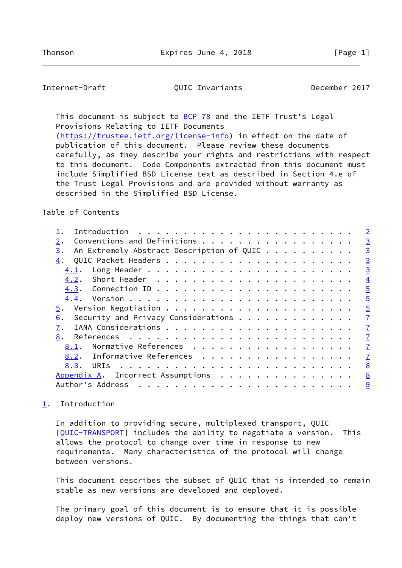<span id="page-1-1"></span>Internet-Draft QUIC Invariants December 2017

This document is subject to **[BCP 78](https://datatracker.ietf.org/doc/pdf/bcp78)** and the IETF Trust's Legal Provisions Relating to IETF Documents [\(https://trustee.ietf.org/license-info](https://trustee.ietf.org/license-info)) in effect on the date of

 publication of this document. Please review these documents carefully, as they describe your rights and restrictions with respect to this document. Code Components extracted from this document must include Simplified BSD License text as described in Section 4.e of the Trust Legal Provisions and are provided without warranty as described in the Simplified BSD License.

Table of Contents

|                                                        |                                  |  |  |  |  |  |  | $\overline{2}$                                                                                                                                                                                              |
|--------------------------------------------------------|----------------------------------|--|--|--|--|--|--|-------------------------------------------------------------------------------------------------------------------------------------------------------------------------------------------------------------|
|                                                        |                                  |  |  |  |  |  |  | $\overline{3}$                                                                                                                                                                                              |
|                                                        |                                  |  |  |  |  |  |  | $\overline{3}$                                                                                                                                                                                              |
|                                                        |                                  |  |  |  |  |  |  | $\overline{3}$                                                                                                                                                                                              |
|                                                        |                                  |  |  |  |  |  |  | $\overline{3}$                                                                                                                                                                                              |
|                                                        |                                  |  |  |  |  |  |  | $\overline{4}$                                                                                                                                                                                              |
|                                                        |                                  |  |  |  |  |  |  | $\overline{5}$                                                                                                                                                                                              |
|                                                        |                                  |  |  |  |  |  |  | $\overline{5}$                                                                                                                                                                                              |
|                                                        |                                  |  |  |  |  |  |  | $\overline{5}$                                                                                                                                                                                              |
|                                                        |                                  |  |  |  |  |  |  | $\overline{1}$                                                                                                                                                                                              |
|                                                        |                                  |  |  |  |  |  |  | $\overline{1}$                                                                                                                                                                                              |
|                                                        |                                  |  |  |  |  |  |  | $\overline{1}$                                                                                                                                                                                              |
|                                                        |                                  |  |  |  |  |  |  | $\overline{1}$                                                                                                                                                                                              |
|                                                        |                                  |  |  |  |  |  |  | $\overline{1}$                                                                                                                                                                                              |
|                                                        |                                  |  |  |  |  |  |  | 8                                                                                                                                                                                                           |
|                                                        |                                  |  |  |  |  |  |  | 8                                                                                                                                                                                                           |
|                                                        |                                  |  |  |  |  |  |  | 9                                                                                                                                                                                                           |
| 2.<br>3.<br>4.<br>4.1.<br>5.<br>6.<br>7.<br>8.<br>8.1. | 4.2.<br>8.3.<br>Author's Address |  |  |  |  |  |  | Conventions and Definitions<br>An Extremely Abstract Description of QUIC<br>Security and Privacy Considerations<br>Normative References<br>8.2. Informative References<br>Appendix A. Incorrect Assumptions |

# <span id="page-1-0"></span>[1](#page-1-0). Introduction

 In addition to providing secure, multiplexed transport, QUIC [\[QUIC-TRANSPORT](#page-7-5)] includes the ability to negotiate a version. This allows the protocol to change over time in response to new requirements. Many characteristics of the protocol will change between versions.

 This document describes the subset of QUIC that is intended to remain stable as new versions are developed and deployed.

 The primary goal of this document is to ensure that it is possible deploy new versions of QUIC. By documenting the things that can't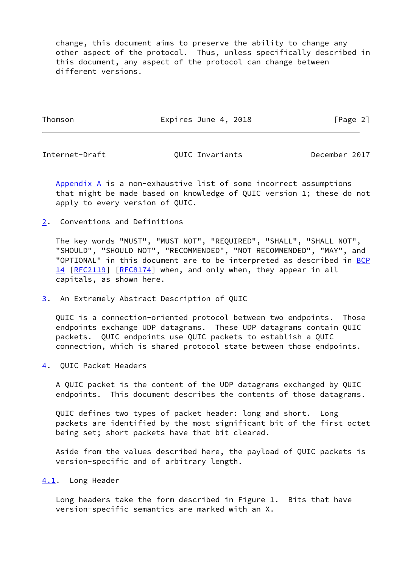change, this document aims to preserve the ability to change any other aspect of the protocol. Thus, unless specifically described in this document, any aspect of the protocol can change between different versions.

Thomson **Expires June 4, 2018** [Page 2]

<span id="page-2-1"></span>

Internet-Draft QUIC Invariants December 2017

[Appendix A](#page-8-4) is a non-exhaustive list of some incorrect assumptions that might be made based on knowledge of QUIC version 1; these do not apply to every version of QUIC.

<span id="page-2-0"></span>[2](#page-2-0). Conventions and Definitions

 The key words "MUST", "MUST NOT", "REQUIRED", "SHALL", "SHALL NOT", "SHOULD", "SHOULD NOT", "RECOMMENDED", "NOT RECOMMENDED", "MAY", and "OPTIONAL" in this document are to be interpreted as described in [BCP](https://datatracker.ietf.org/doc/pdf/bcp14) [14](https://datatracker.ietf.org/doc/pdf/bcp14) [[RFC2119\]](https://datatracker.ietf.org/doc/pdf/rfc2119) [\[RFC8174](https://datatracker.ietf.org/doc/pdf/rfc8174)] when, and only when, they appear in all capitals, as shown here.

<span id="page-2-2"></span>[3](#page-2-2). An Extremely Abstract Description of QUIC

 QUIC is a connection-oriented protocol between two endpoints. Those endpoints exchange UDP datagrams. These UDP datagrams contain QUIC packets. QUIC endpoints use QUIC packets to establish a QUIC connection, which is shared protocol state between those endpoints.

<span id="page-2-3"></span>[4](#page-2-3). QUIC Packet Headers

 A QUIC packet is the content of the UDP datagrams exchanged by QUIC endpoints. This document describes the contents of those datagrams.

 QUIC defines two types of packet header: long and short. Long packets are identified by the most significant bit of the first octet being set; short packets have that bit cleared.

 Aside from the values described here, the payload of QUIC packets is version-specific and of arbitrary length.

<span id="page-2-4"></span>[4.1](#page-2-4). Long Header

 Long headers take the form described in Figure 1. Bits that have version-specific semantics are marked with an X.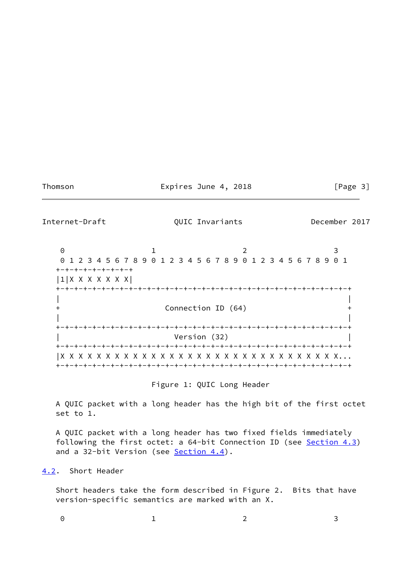## Thomson **Expires June 4, 2018** [Page 3]

<span id="page-3-1"></span>

Internet-Draft QUIC Invariants December 2017

0 1 2 3 0 1 2 3 4 5 6 7 8 9 0 1 2 3 4 5 6 7 8 9 0 1 2 3 4 5 6 7 8 9 0 1 +-+-+-+-+-+-+-+-+ |1|X X X X X X X| +-+-+-+-+-+-+-+-+-+-+-+-+-+-+-+-+-+-+-+-+-+-+-+-+-+-+-+-+-+-+-+-+ | | + Connection ID (64) + | | +-+-+-+-+-+-+-+-+-+-+-+-+-+-+-+-+-+-+-+-+-+-+-+-+-+-+-+-+-+-+-+-+ Version (32) +-+-+-+-+-+-+-+-+-+-+-+-+-+-+-+-+-+-+-+-+-+-+-+-+-+-+-+-+-+-+-+-+ |X X X X X X X X X X X X X X X X X X X X X X X X X X X X X X X... +-+-+-+-+-+-+-+-+-+-+-+-+-+-+-+-+-+-+-+-+-+-+-+-+-+-+-+-+-+-+-+-+

Figure 1: QUIC Long Header

 A QUIC packet with a long header has the high bit of the first octet set to 1.

 A QUIC packet with a long header has two fixed fields immediately following the first octet: a 64-bit Connection ID (see [Section 4.3](#page-4-0)) and a 32-bit Version (see **Section 4.4**).

<span id="page-3-0"></span>[4.2](#page-3-0). Short Header

 Short headers take the form described in Figure 2. Bits that have version-specific semantics are marked with an X.

| $\Theta$ and $\Theta$ and $\Theta$ and $\Theta$ and $\Theta$ and $\Theta$ |  |  |
|---------------------------------------------------------------------------|--|--|
|                                                                           |  |  |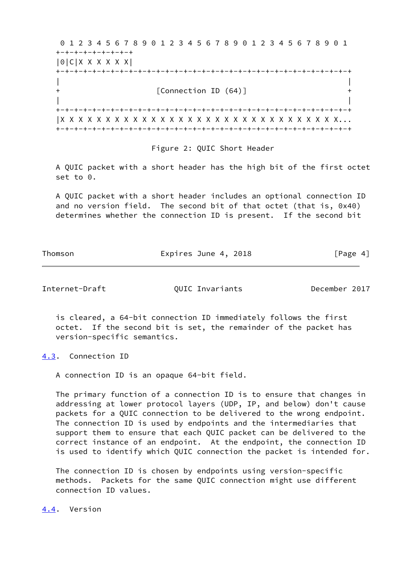0 1 2 3 4 5 6 7 8 9 0 1 2 3 4 5 6 7 8 9 0 1 2 3 4 5 6 7 8 9 0 1 +-+-+-+-+-+-+-+-+ |0|C|X X X X X X| +-+-+-+-+-+-+-+-+-+-+-+-+-+-+-+-+-+-+-+-+-+-+-+-+-+-+-+-+-+-+-+-+ | | + [Connection ID (64)] + | | +-+-+-+-+-+-+-+-+-+-+-+-+-+-+-+-+-+-+-+-+-+-+-+-+-+-+-+-+-+-+-+-+ |X X X X X X X X X X X X X X X X X X X X X X X X X X X X X X X... +-+-+-+-+-+-+-+-+-+-+-+-+-+-+-+-+-+-+-+-+-+-+-+-+-+-+-+-+-+-+-+-+

Figure 2: QUIC Short Header

 A QUIC packet with a short header has the high bit of the first octet set to 0.

 A QUIC packet with a short header includes an optional connection ID and no version field. The second bit of that octet (that is, 0x40) determines whether the connection ID is present. If the second bit

Thomson **Expires June 4, 2018** [Page 4]

<span id="page-4-1"></span>Internet-Draft QUIC Invariants December 2017

 is cleared, a 64-bit connection ID immediately follows the first octet. If the second bit is set, the remainder of the packet has version-specific semantics.

<span id="page-4-0"></span>[4.3](#page-4-0). Connection ID

A connection ID is an opaque 64-bit field.

 The primary function of a connection ID is to ensure that changes in addressing at lower protocol layers (UDP, IP, and below) don't cause packets for a QUIC connection to be delivered to the wrong endpoint. The connection ID is used by endpoints and the intermediaries that support them to ensure that each QUIC packet can be delivered to the correct instance of an endpoint. At the endpoint, the connection ID is used to identify which QUIC connection the packet is intended for.

 The connection ID is chosen by endpoints using version-specific methods. Packets for the same QUIC connection might use different connection ID values.

<span id="page-4-2"></span>[4.4](#page-4-2). Version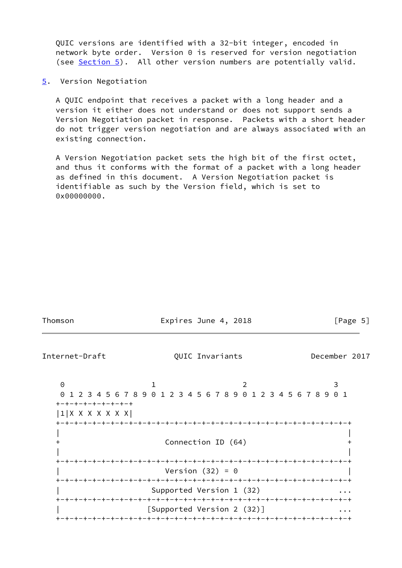QUIC versions are identified with a 32-bit integer, encoded in network byte order. Version 0 is reserved for version negotiation (see [Section 5](#page-5-0)). All other version numbers are potentially valid.

<span id="page-5-0"></span>[5](#page-5-0). Version Negotiation

 A QUIC endpoint that receives a packet with a long header and a version it either does not understand or does not support sends a Version Negotiation packet in response. Packets with a short header do not trigger version negotiation and are always associated with an existing connection.

 A Version Negotiation packet sets the high bit of the first octet, and thus it conforms with the format of a packet with a long header as defined in this document. A Version Negotiation packet is identifiable as such by the Version field, which is set to 0x00000000.

| Thomson                                                  | Expires June 4, 2018                                                                     | [Page $5$ ]   |
|----------------------------------------------------------|------------------------------------------------------------------------------------------|---------------|
| Internet-Draft                                           | QUIC Invariants                                                                          | December 2017 |
| $\Theta$<br>+-+-+-+-+-+-+-+-+<br>$ 1 $ X X X X X X X $ $ | 2<br>1 2 3 4 5 6 7 8 9 0 1 2 3 4 5 6 7 8 9 0 1 2 3 4 5 6 7 8 9 0 1<br>Connection ID (64) | 3             |
|                                                          | Version $(32) = 0$<br>Supported Version 1 (32)<br>[Supported Version 2 (32)]             |               |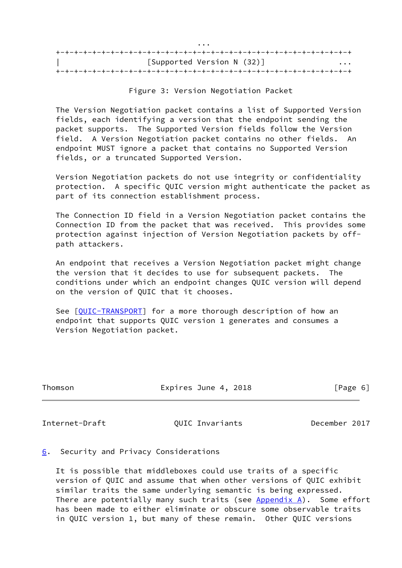|   | $\cdots$                   |
|---|----------------------------|
|   |                            |
| . | [Supported Version N (32)] |
|   |                            |

Figure 3: Version Negotiation Packet

 The Version Negotiation packet contains a list of Supported Version fields, each identifying a version that the endpoint sending the packet supports. The Supported Version fields follow the Version field. A Version Negotiation packet contains no other fields. An endpoint MUST ignore a packet that contains no Supported Version fields, or a truncated Supported Version.

 Version Negotiation packets do not use integrity or confidentiality protection. A specific QUIC version might authenticate the packet as part of its connection establishment process.

 The Connection ID field in a Version Negotiation packet contains the Connection ID from the packet that was received. This provides some protection against injection of Version Negotiation packets by off path attackers.

 An endpoint that receives a Version Negotiation packet might change the version that it decides to use for subsequent packets. The conditions under which an endpoint changes QUIC version will depend on the version of QUIC that it chooses.

 See [\[QUIC-TRANSPORT](#page-7-5)] for a more thorough description of how an endpoint that supports QUIC version 1 generates and consumes a Version Negotiation packet.

| Thomson | Expires June 4, 2018 | [Page 6] |
|---------|----------------------|----------|
|         |                      |          |

<span id="page-6-1"></span>Internet-Draft QUIC Invariants December 2017

<span id="page-6-0"></span>[6](#page-6-0). Security and Privacy Considerations

 It is possible that middleboxes could use traits of a specific version of QUIC and assume that when other versions of QUIC exhibit similar traits the same underlying semantic is being expressed. There are potentially many such traits (see [Appendix A\)](#page-8-4). Some effort has been made to either eliminate or obscure some observable traits in QUIC version 1, but many of these remain. Other QUIC versions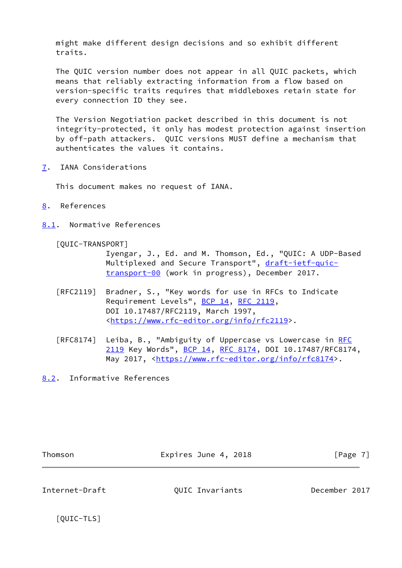might make different design decisions and so exhibit different traits.

 The QUIC version number does not appear in all QUIC packets, which means that reliably extracting information from a flow based on version-specific traits requires that middleboxes retain state for every connection ID they see.

 The Version Negotiation packet described in this document is not integrity-protected, it only has modest protection against insertion by off-path attackers. QUIC versions MUST define a mechanism that authenticates the values it contains.

<span id="page-7-0"></span>[7](#page-7-0). IANA Considerations

This document makes no request of IANA.

- <span id="page-7-1"></span>[8](#page-7-1). References
- <span id="page-7-2"></span>[8.1](#page-7-2). Normative References

<span id="page-7-5"></span>[QUIC-TRANSPORT]

 Iyengar, J., Ed. and M. Thomson, Ed., "QUIC: A UDP-Based Multiplexed and Secure Transport", [draft-ietf-quic](https://datatracker.ietf.org/doc/pdf/draft-ietf-quic-transport-00) [transport-00](https://datatracker.ietf.org/doc/pdf/draft-ietf-quic-transport-00) (work in progress), December 2017.

- [RFC2119] Bradner, S., "Key words for use in RFCs to Indicate Requirement Levels", [BCP 14](https://datatracker.ietf.org/doc/pdf/bcp14), [RFC 2119](https://datatracker.ietf.org/doc/pdf/rfc2119), DOI 10.17487/RFC2119, March 1997, <[https://www.rfc-editor.org/info/rfc2119>](https://www.rfc-editor.org/info/rfc2119).
- [RFC8174] Leiba, B., "Ambiguity of Uppercase vs Lowercase in [RFC](https://datatracker.ietf.org/doc/pdf/rfc2119) [2119](https://datatracker.ietf.org/doc/pdf/rfc2119) Key Words", [BCP 14](https://datatracker.ietf.org/doc/pdf/bcp14), [RFC 8174,](https://datatracker.ietf.org/doc/pdf/rfc8174) DOI 10.17487/RFC8174, May 2017, [<https://www.rfc-editor.org/info/rfc8174](https://www.rfc-editor.org/info/rfc8174)>.
- <span id="page-7-3"></span>[8.2](#page-7-3). Informative References

Thomson **Expires June 4, 2018** [Page 7]

<span id="page-7-4"></span>

<span id="page-7-6"></span>Internet-Draft QUIC Invariants December 2017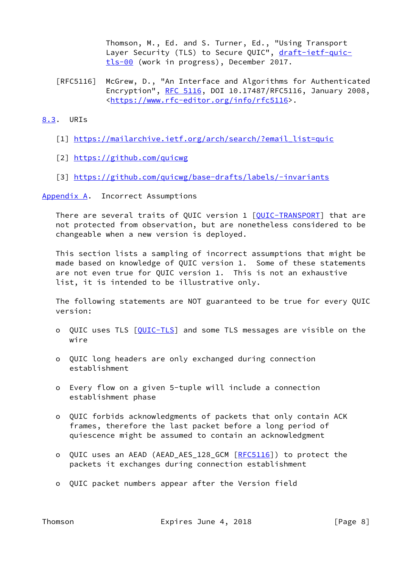Thomson, M., Ed. and S. Turner, Ed., "Using Transport Layer Security (TLS) to Secure QUIC", [draft-ietf-quic](https://datatracker.ietf.org/doc/pdf/draft-ietf-quic-tls-00) [tls-00](https://datatracker.ietf.org/doc/pdf/draft-ietf-quic-tls-00) (work in progress), December 2017.

 [RFC5116] McGrew, D., "An Interface and Algorithms for Authenticated Encryption", [RFC 5116](https://datatracker.ietf.org/doc/pdf/rfc5116), DOI 10.17487/RFC5116, January 2008, <[https://www.rfc-editor.org/info/rfc5116>](https://www.rfc-editor.org/info/rfc5116).

## <span id="page-8-3"></span>[8.3](#page-8-3). URIs

- <span id="page-8-0"></span>[1] https://mailarchive.ietf.org/arch/search/?email list=quic
- <span id="page-8-1"></span>[2] <https://github.com/quicwg>
- <span id="page-8-2"></span>[3] <https://github.com/quicwg/base-drafts/labels/-invariants>

<span id="page-8-4"></span>[Appendix A.](#page-8-4) Incorrect Assumptions

 There are several traits of QUIC version 1 [[QUIC-TRANSPORT](#page-7-5)] that are not protected from observation, but are nonetheless considered to be changeable when a new version is deployed.

 This section lists a sampling of incorrect assumptions that might be made based on knowledge of QUIC version 1. Some of these statements are not even true for QUIC version 1. This is not an exhaustive list, it is intended to be illustrative only.

 The following statements are NOT guaranteed to be true for every QUIC version:

- o QUIC uses TLS [\[QUIC-TLS](#page-7-6)] and some TLS messages are visible on the wire
- o QUIC long headers are only exchanged during connection establishment
- o Every flow on a given 5-tuple will include a connection establishment phase
- o QUIC forbids acknowledgments of packets that only contain ACK frames, therefore the last packet before a long period of quiescence might be assumed to contain an acknowledgment
- o QUIC uses an AEAD (AEAD\_AES\_128\_GCM [\[RFC5116](https://datatracker.ietf.org/doc/pdf/rfc5116)]) to protect the packets it exchanges during connection establishment
- o QUIC packet numbers appear after the Version field

Thomson **Expires June 4, 2018** [Page 8]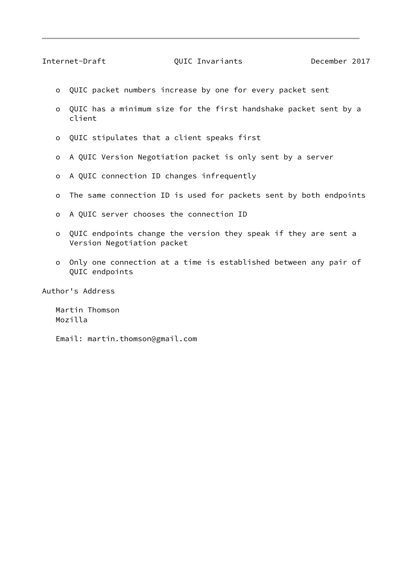<span id="page-9-0"></span>Internet-Draft QUIC Invariants December 2017

- o QUIC packet numbers increase by one for every packet sent
- o QUIC has a minimum size for the first handshake packet sent by a client
- o QUIC stipulates that a client speaks first
- o A QUIC Version Negotiation packet is only sent by a server
- o A QUIC connection ID changes infrequently
- o The same connection ID is used for packets sent by both endpoints
- o A QUIC server chooses the connection ID
- o QUIC endpoints change the version they speak if they are sent a Version Negotiation packet
- o Only one connection at a time is established between any pair of QUIC endpoints

Author's Address

 Martin Thomson Mozilla

Email: martin.thomson@gmail.com